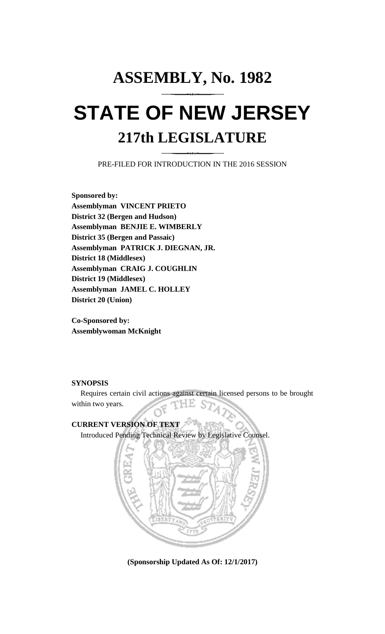## **ASSEMBLY, No. 1982 STATE OF NEW JERSEY 217th LEGISLATURE**

PRE-FILED FOR INTRODUCTION IN THE 2016 SESSION

**Sponsored by: Assemblyman VINCENT PRIETO District 32 (Bergen and Hudson) Assemblyman BENJIE E. WIMBERLY District 35 (Bergen and Passaic) Assemblyman PATRICK J. DIEGNAN, JR. District 18 (Middlesex) Assemblyman CRAIG J. COUGHLIN District 19 (Middlesex) Assemblyman JAMEL C. HOLLEY District 20 (Union)**

**Co-Sponsored by: Assemblywoman McKnight**

## **SYNOPSIS**

Requires certain civil actions against certain licensed persons to be brought within two years.

## **CURRENT VERSION OF TEXT**  Introduced Pending Technical Review by Legislative Counsel.



**(Sponsorship Updated As Of: 12/1/2017)**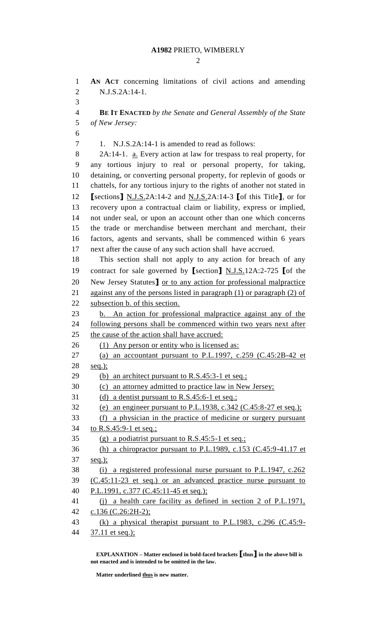$\mathcal{D}_{\mathcal{L}}$ 

 **AN ACT** concerning limitations of civil actions and amending N.J.S.2A:14-1. 

 **BE IT ENACTED** *by the Senate and General Assembly of the State of New Jersey:*

1. N.J.S.2A:14-1 is amended to read as follows:

 2A:14-1. a. Every action at law for trespass to real property, for any tortious injury to real or personal property, for taking, detaining, or converting personal property, for replevin of goods or chattels, for any tortious injury to the rights of another not stated in **[**sections**]** N.J.S.2A:14-2 and N.J.S.2A:14-3 **[**of this Title**]**, or for recovery upon a contractual claim or liability, express or implied, not under seal, or upon an account other than one which concerns the trade or merchandise between merchant and merchant, their factors, agents and servants, shall be commenced within 6 years next after the cause of any such action shall have accrued.

 This section shall not apply to any action for breach of any contract for sale governed by **[**section**]** N.J.S.12A:2-725 **[**of the New Jersey Statutes**]** or to any action for professional malpractice 21 against any of the persons listed in paragraph (1) or paragraph (2) of subsection b. of this section.

 b. An action for professional malpractice against any of the following persons shall be commenced within two years next after the cause of the action shall have accrued:

- 26 (1) Any person or entity who is licensed as:
- (a) an accountant pursuant to P.L.1997, c.259 (C.45:2B-42 et seq.);
- 29 (b) an architect pursuant to R.S.45:3-1 et seq.;
- (c) an attorney admitted to practice law in New Jersey;
- (d) a dentist pursuant to R.S.45:6-1 et seq.;
- (e) an engineer pursuant to P.L.1938, c.342 (C.45:8-27 et seq.);

(f) a physician in the practice of medicine or surgery pursuant

34 to R.S.45:9-1 et seq.;

(g) a podiatrist pursuant to R.S.45:5-1 et seq.;

 (h) a chiropractor pursuant to P.L.1989, c.153 (C.45:9-41.17 et seq.);

```
38 (i) a registered professional nurse pursuant to P.L.1947, c.262
```
 (C.45:11-23 et seq.) or an advanced practice nurse pursuant to 40 P.L.1991, c.377 (C.45:11-45 et seq.);

 (j) a health care facility as defined in section 2 of P.L.1971, c.136 (C.26:2H-2);

```
43 (k) a physical therapist pursuant to P.L.1983, c.296 (C.45:9-
```
44 37.11 et seq.);

**EXPLANATION – Matter enclosed in bold-faced brackets [thus] in the above bill is not enacted and is intended to be omitted in the law.**

**Matter underlined thus is new matter.**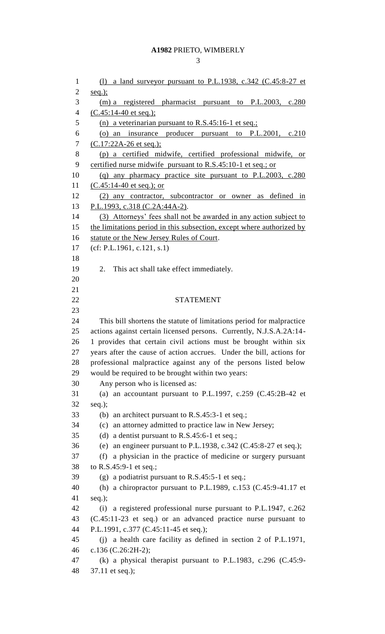## **A1982** PRIETO, WIMBERLY

| $\mathbf{1}$   | a land surveyor pursuant to P.L.1938, c.342 (C.45:8-27 et<br>(1)      |
|----------------|-----------------------------------------------------------------------|
| 2              | $seq.$ );                                                             |
| 3              | $(m)$ a registered pharmacist pursuant to P.L.2003,<br>c.280          |
| $\overline{4}$ | $(C.45:14-40$ et seq.);                                               |
| 5              | (n) a veterinarian pursuant to R.S.45:16-1 et seq.;                   |
| 6              | (o) an insurance producer pursuant to P.L.2001,<br>c.210              |
| 7              | $(C.17:22A-26$ et seq.);                                              |
| 8              | (p) a certified midwife, certified professional midwife, or           |
| 9              | certified nurse midwife pursuant to R.S.45:10-1 et seq.; or           |
| 10             | (q) any pharmacy practice site pursuant to P.L.2003, c.280            |
| 11             | $(C.45:14-40$ et seq.); or                                            |
| 12             | (2) any contractor, subcontractor or owner as defined in              |
| 13             | P.L.1993, c.318 (C.2A:44A-2).                                         |
| 14             | (3) Attorneys' fees shall not be awarded in any action subject to     |
| 15             | the limitations period in this subsection, except where authorized by |
| 16             | statute or the New Jersey Rules of Court.                             |
| 17             | (cf: P.L.1961, c.121, s.1)                                            |
| 18             |                                                                       |
| 19             | This act shall take effect immediately.<br>2.                         |
| 20             |                                                                       |
| 21             |                                                                       |
| 22             | <b>STATEMENT</b>                                                      |
| 23             |                                                                       |
| 24             | This bill shortens the statute of limitations period for malpractice  |
| 25             | actions against certain licensed persons. Currently, N.J.S.A.2A:14-   |
| 26             | 1 provides that certain civil actions must be brought within six      |
| 27             | years after the cause of action accrues. Under the bill, actions for  |
| 28             | professional malpractice against any of the persons listed below      |
| 29             | would be required to be brought within two years:                     |
| 30             | Any person who is licensed as:                                        |
| 31             | (a) an accountant pursuant to P.L.1997, c.259 $(C.45:2B-42$ et        |
| 32             | $seq.$ );                                                             |
| 33             | an architect pursuant to R.S.45:3-1 et seq.;<br>(b)                   |
| 34             | an attorney admitted to practice law in New Jersey;<br>(c)            |
| 35             | a dentist pursuant to R.S.45:6-1 et seq.;<br>(d)                      |
| 36             | an engineer pursuant to P.L.1938, c.342 (C.45:8-27 et seq.);<br>(e)   |
| 37             | a physician in the practice of medicine or surgery pursuant<br>(f)    |
| 38             | to R.S.45:9-1 et seq.;                                                |
| 39             | (g) a podiatrist pursuant to $R.S.45:5-1$ et seq.;                    |
| 40             | (h) a chiropractor pursuant to P.L.1989, c.153 (C.45:9-41.17 et       |
| 41             | $seq.$ );                                                             |
| 42             | a registered professional nurse pursuant to P.L.1947, c.262<br>(i)    |
| 43             | (C.45:11-23 et seq.) or an advanced practice nurse pursuant to        |
| 44             | P.L.1991, c.377 (C.45:11-45 et seq.);                                 |
| 45             | (j) a health care facility as defined in section 2 of P.L.1971,       |
| 46             | c.136 (C.26:2H-2);                                                    |
| 47             | (k) a physical therapist pursuant to P.L.1983, c.296 $(C.45.9-$       |
| 48             | 37.11 et seq.);                                                       |
|                |                                                                       |